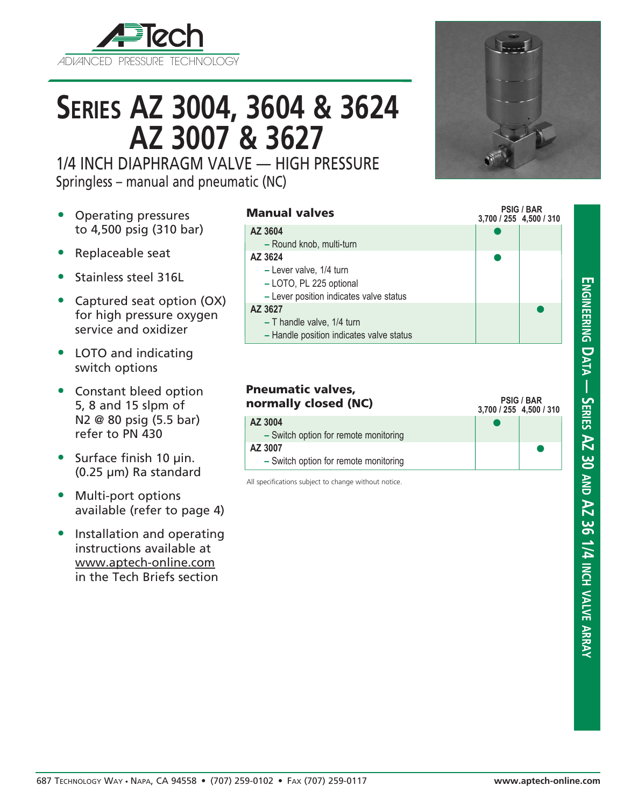

# **Series AZ 3004, 3604 & 3624 AZ 3007 & 3627**

1/4 INCH DIAPHRAGM VALVE — HIGH PRESSURE Springless – manual and pneumatic (NC)

- Operating pressures to 4,500 psig (310 bar)
- Replaceable seat
- Stainless steel 316L
- Captured seat option (OX) for high pressure oxygen service and oxidizer
- LOTO and indicating switch options
- Constant bleed option 5, 8 and 15 slpm of N2 @ 80 psig (5.5 bar) refer to PN 430
- Surface finish 10 µin. (0.25 µm) Ra standard
- Multi-port options available (refer to page 4)
- Installation and operating instructions available at www.aptech-online.com in the Tech Briefs section

#### Manual valves

#### **3,700 / 255 4,500 / 310**  $\bullet$  $\bullet$  $\bullet$ **AZ 3604 –** Round knob, multi-turn **AZ 3624 –** Lever valve, 1/4 turn **–** LOTO, PL 225 optional **–** Lever position indicates valve status **AZ 3627 –** T handle valve, 1/4 turn **–** Handle position indicates valve status

| <b>Pneumatic valves,</b><br>normally closed (NC) | 3,700 / 255 4,500 / 310 | <b>PSIG / BAR</b> |
|--------------------------------------------------|-------------------------|-------------------|
| AZ 3004<br>- Switch option for remote monitoring |                         |                   |
| AZ 3007                                          |                         |                   |
| - Switch option for remote monitoring            |                         |                   |

All specifications subject to change without notice.



**PSIG / BAR**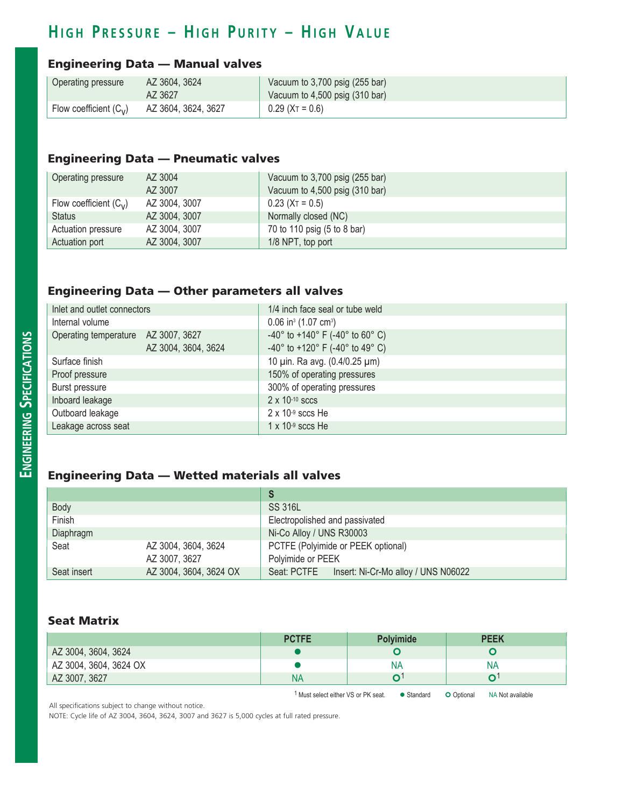## **H i g h P r e ss u r e – H i g h P u r i t y – H i g h V a l u e**

### Engineering Data — Manual valves

| Operating pressure       | AZ 3604, 3624       | Vacuum to 3,700 psig (255 bar) |
|--------------------------|---------------------|--------------------------------|
|                          | AZ 3627             | Vacuum to 4,500 psig (310 bar) |
| Flow coefficient $(C_v)$ | AZ 3604, 3624, 3627 | $0.29$ (X <sub>T</sub> = 0.6)  |

#### Engineering Data — Pneumatic valves

| Operating pressure       | AZ 3004       | Vacuum to 3,700 psig (255 bar) |
|--------------------------|---------------|--------------------------------|
|                          | AZ 3007       | Vacuum to 4,500 psig (310 bar) |
| Flow coefficient $(C_v)$ | AZ 3004, 3007 | $0.23$ (X <sub>T</sub> = 0.5)  |
| <b>Status</b>            | AZ 3004, 3007 | Normally closed (NC)           |
| Actuation pressure       | AZ 3004, 3007 | 70 to 110 psig (5 to 8 bar)    |
| Actuation port           | AZ 3004, 3007 | 1/8 NPT, top port              |

#### Engineering Data — Other parameters all valves

| Inlet and outlet connectors         |                     | 1/4 inch face seal or tube weld                                         |
|-------------------------------------|---------------------|-------------------------------------------------------------------------|
| Internal volume                     |                     | $0.06$ in <sup>3</sup> (1.07 cm <sup>3</sup> )                          |
| Operating temperature AZ 3007, 3627 |                     | -40 $^{\circ}$ to +140 $^{\circ}$ F (-40 $^{\circ}$ to 60 $^{\circ}$ C) |
|                                     | AZ 3004, 3604, 3624 | -40 $^{\circ}$ to +120 $^{\circ}$ F (-40 $^{\circ}$ to 49 $^{\circ}$ C) |
| Surface finish                      |                     | 10 µin. Ra avg. (0.4/0.25 µm)                                           |
| Proof pressure                      |                     | 150% of operating pressures                                             |
| Burst pressure                      |                     | 300% of operating pressures                                             |
| Inboard leakage                     |                     | $2 \times 10^{-10}$ sccs                                                |
| Outboard leakage                    |                     | $2 \times 10^{-9}$ sccs He                                              |
| Leakage across seat                 |                     | $1 \times 10^{-9}$ sccs He                                              |

### Engineering Data — Wetted materials all valves

| Body        |                        | <b>SS 316L</b>                                  |  |  |
|-------------|------------------------|-------------------------------------------------|--|--|
| Finish      |                        | Electropolished and passivated                  |  |  |
| Diaphragm   |                        | Ni-Co Alloy / UNS R30003                        |  |  |
| Seat        | AZ 3004, 3604, 3624    | PCTFE (Polyimide or PEEK optional)              |  |  |
|             | AZ 3007, 3627          | Polyimide or PEEK                               |  |  |
| Seat insert | AZ 3004, 3604, 3624 OX | Seat: PCTFE Insert: Ni-Cr-Mo alloy / UNS N06022 |  |  |

#### Seat Matrix

| <b>PCTFE</b> | <b>Polyimide</b> | <b>PEEK</b> |
|--------------|------------------|-------------|
|              |                  |             |
|              | <b>NA</b>        | <b>NA</b>   |
| N۵           |                  |             |
|              |                  |             |

1 Must select either VS or PK seat.  $\bullet$  Standard  $\bullet$  Optional NA Not available

All specifications subject to change without notice.

NOTE: Cycle life of AZ 3004, 3604, 3624, 3007 and 3627 is 5,000 cycles at full rated pressure.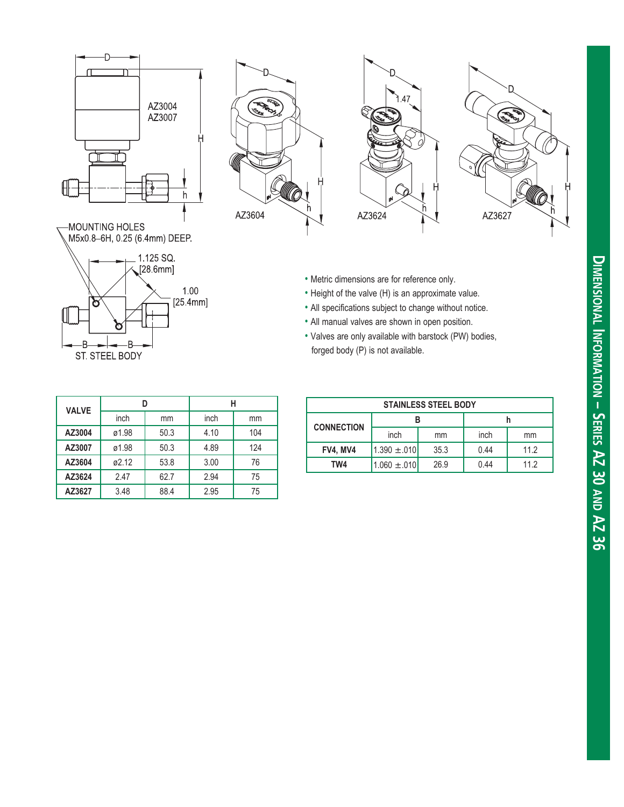

n

ST STEEL BODY

B

B







- Metric dimensions are for reference only.
- Height of the valve (H) is an approximate value.
- All specifications subject to change without notice.
- All manual valves are shown in open position.
- Valves are only available with barstock (PW) bodies, forged body (P) is not available.

| <b>VALVE</b> |       |      |      |     |
|--------------|-------|------|------|-----|
|              | inch  | mm   | inch | mm  |
| AZ3004       | ø1.98 | 50.3 | 4.10 | 104 |
| AZ3007       | ø1.98 | 50.3 | 4.89 | 124 |
| AZ3604       | ø2.12 | 53.8 | 3.00 | 76  |
| AZ3624       | 2.47  | 62.7 | 2.94 | 75  |
| AZ3627       | 3.48  | 88.4 | 2.95 | 75  |

 $1.00$  $[25.4mm]$ 

| <b>STAINLESS STEEL BODY</b> |                  |      |      |      |
|-----------------------------|------------------|------|------|------|
| <b>CONNECTION</b>           |                  |      |      |      |
|                             | inch             | mm   | inch | mm   |
| <b>FV4. MV4</b>             | $1.390 \pm .010$ | 35.3 | 0.44 | 11.2 |
| TW4                         | $1.060 \pm .010$ | 26.9 | 0.44 | 11.2 |